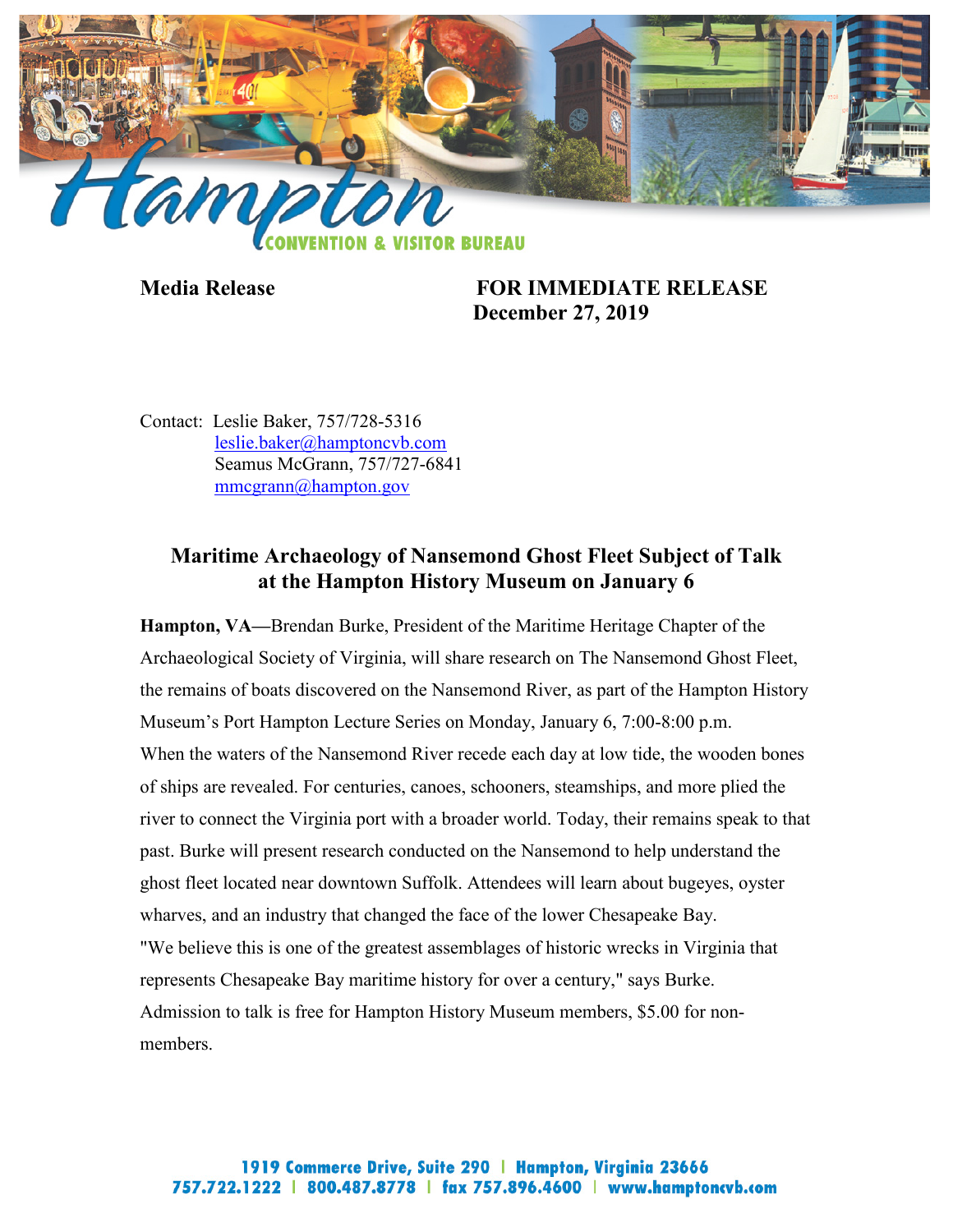

**Media Release FOR IMMEDIATE RELEASE December 27, 2019**

Contact: Leslie Baker, 757/728-5316 [leslie.baker@hamptoncvb.com](mailto:leslie.baker@hamptoncvb.com) Seamus McGrann, 757/727-6841 [mmcgrann@hampton.gov](mailto:mmcgrann@hampton.gov)

## **Maritime Archaeology of Nansemond Ghost Fleet Subject of Talk at the Hampton History Museum on January 6**

**Hampton, VA—**Brendan Burke, President of the Maritime Heritage Chapter of the Archaeological Society of Virginia, will share research on The Nansemond Ghost Fleet, the remains of boats discovered on the Nansemond River, as part of the Hampton History Museum's Port Hampton Lecture Series on Monday, January 6, 7:00-8:00 p.m. When the waters of the Nansemond River recede each day at low tide, the wooden bones of ships are revealed. For centuries, canoes, schooners, steamships, and more plied the river to connect the Virginia port with a broader world. Today, their remains speak to that past. Burke will present research conducted on the Nansemond to help understand the ghost fleet located near downtown Suffolk. Attendees will learn about bugeyes, oyster wharves, and an industry that changed the face of the lower Chesapeake Bay. "We believe this is one of the greatest assemblages of historic wrecks in Virginia that represents Chesapeake Bay maritime history for over a century," says Burke. Admission to talk is free for Hampton History Museum members, \$5.00 for nonmembers.